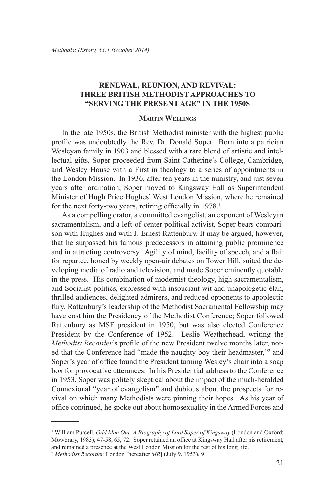## **RENEWAL, REUNION, AND REVIVAL: THREE BRITISH METHODIST APPROACHES TO "SERVING THE PRESENT AGE" IN THE 1950S**

## **Martin Wellings**

In the late 1950s, the British Methodist minister with the highest public profile was undoubtedly the Rev. Dr. Donald Soper. Born into a patrician Wesleyan family in 1903 and blessed with a rare blend of artistic and intellectual gifts, Soper proceeded from Saint Catherine's College, Cambridge, and Wesley House with a First in theology to a series of appointments in the London Mission. In 1936, after ten years in the ministry, and just seven years after ordination, Soper moved to Kingsway Hall as Superintendent Minister of Hugh Price Hughes' West London Mission, where he remained for the next forty-two years, retiring officially in 1978.<sup>1</sup>

As a compelling orator, a committed evangelist, an exponent of Wesleyan sacramentalism, and a left-of-center political activist, Soper bears comparison with Hughes and with J. Ernest Rattenbury. It may be argued, however, that he surpassed his famous predecessors in attaining public prominence and in attracting controversy. Agility of mind, facility of speech, and a flair for repartee, honed by weekly open-air debates on Tower Hill, suited the developing media of radio and television, and made Soper eminently quotable in the press. His combination of modernist theology, high sacramentalism, and Socialist politics, expressed with insouciant wit and unapologetic élan, thrilled audiences, delighted admirers, and reduced opponents to apoplectic fury. Rattenbury's leadership of the Methodist Sacramental Fellowship may have cost him the Presidency of the Methodist Conference; Soper followed Rattenbury as MSF president in 1950, but was also elected Conference President by the Conference of 1952. Leslie Weatherhead, writing the *Methodist Recorder*'s profile of the new President twelve months later, noted that the Conference had "made the naughty boy their headmaster,"<sup>2</sup> and Soper's year of office found the President turning Wesley's chair into a soap box for provocative utterances. In his Presidential address to the Conference in 1953, Soper was politely skeptical about the impact of the much-heralded Connexional "year of evangelism" and dubious about the prospects for revival on which many Methodists were pinning their hopes. As his year of office continued, he spoke out about homosexuality in the Armed Forces and

<sup>1</sup> William Purcell, *Odd Man Out: A Biography of Lord Soper of Kingsway* (London and Oxford: Mowbrary, 1983), 47-58, 65, 72. Soper retained an office at Kingsway Hall after his retirement, and remained a presence at the West London Mission for the rest of his long life.

<sup>2</sup> *Methodist Recorder,* London [hereafter *MR*] (July 9, 1953), 9.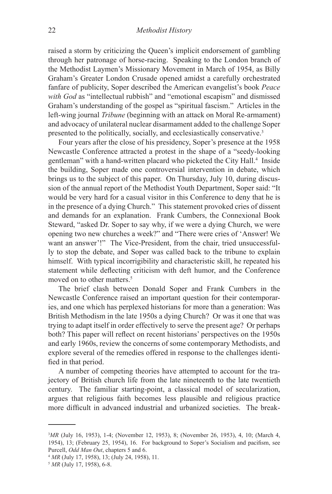raised a storm by criticizing the Queen's implicit endorsement of gambling through her patronage of horse-racing. Speaking to the London branch of the Methodist Laymen's Missionary Movement in March of 1954, as Billy Graham's Greater London Crusade opened amidst a carefully orchestrated fanfare of publicity, Soper described the American evangelist's book *Peace with God* as "intellectual rubbish" and "emotional escapism" and dismissed Graham's understanding of the gospel as "spiritual fascism." Articles in the left-wing journal *Tribune* (beginning with an attack on Moral Re-armament) and advocacy of unilateral nuclear disarmament added to the challenge Soper presented to the politically, socially, and ecclesiastically conservative.3

Four years after the close of his presidency, Soper's presence at the 1958 Newcastle Conference attracted a protest in the shape of a "seedy-looking gentleman" with a hand-written placard who picketed the City Hall.<sup>4</sup> Inside the building, Soper made one controversial intervention in debate, which brings us to the subject of this paper. On Thursday, July 10, during discussion of the annual report of the Methodist Youth Department, Soper said: "It would be very hard for a casual visitor in this Conference to deny that he is in the presence of a dying Church." This statement provoked cries of dissent and demands for an explanation. Frank Cumbers, the Connexional Book Steward, "asked Dr. Soper to say why, if we were a dying Church, we were opening two new churches a week?" and "There were cries of 'Answer! We want an answer'!" The Vice-President, from the chair, tried unsuccessfully to stop the debate, and Soper was called back to the tribune to explain himself. With typical incorrigibility and characteristic skill, he repeated his statement while deflecting criticism with deft humor, and the Conference moved on to other matters.<sup>5</sup>

The brief clash between Donald Soper and Frank Cumbers in the Newcastle Conference raised an important question for their contemporaries, and one which has perplexed historians for more than a generation: Was British Methodism in the late 1950s a dying Church? Or was it one that was trying to adapt itself in order effectively to serve the present age? Or perhaps both? This paper will reflect on recent historians' perspectives on the 1950s and early 1960s, review the concerns of some contemporary Methodists, and explore several of the remedies offered in response to the challenges identified in that period.

A number of competing theories have attempted to account for the trajectory of British church life from the late nineteenth to the late twentieth century. The familiar starting-point, a classical model of secularization, argues that religious faith becomes less plausible and religious practice more difficult in advanced industrial and urbanized societies. The break-

<sup>3</sup> *MR* (July 16, 1953), 1-4; (November 12, 1953), 8; (November 26, 1953), 4, 10; (March 4, 1954), 13; (February 25, 1954), 16. For background to Soper's Socialism and pacifism, see Purcell, *Odd Man Out*, chapters 5 and 6.

<sup>4</sup> *MR* (July 17, 1958), 13; (July 24, 1958), 11.

<sup>5</sup> *MR* (July 17, 1958), 6-8.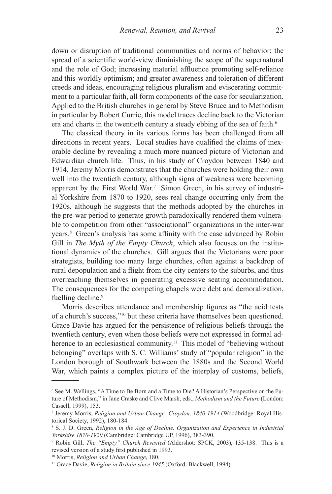down or disruption of traditional communities and norms of behavior; the spread of a scientific world-view diminishing the scope of the supernatural and the role of God; increasing material affluence promoting self-reliance and this-worldly optimism; and greater awareness and toleration of different creeds and ideas, encouraging religious pluralism and eviscerating commitment to a particular faith, all form components of the case for secularization. Applied to the British churches in general by Steve Bruce and to Methodism in particular by Robert Currie, this model traces decline back to the Victorian era and charts in the twentieth century a steady ebbing of the sea of faith.<sup>6</sup>

The classical theory in its various forms has been challenged from all directions in recent years. Local studies have qualified the claims of inexorable decline by revealing a much more nuanced picture of Victorian and Edwardian church life. Thus, in his study of Croydon between 1840 and 1914, Jeremy Morris demonstrates that the churches were holding their own well into the twentieth century, although signs of weakness were becoming apparent by the First World War.7 Simon Green, in his survey of industrial Yorkshire from 1870 to 1920, sees real change occurring only from the 1920s, although he suggests that the methods adopted by the churches in the pre-war period to generate growth paradoxically rendered them vulnerable to competition from other "associational" organizations in the inter-war years.8 Green's analysis has some affinity with the case advanced by Robin Gill in *The Myth of the Empty Church*, which also focuses on the institutional dynamics of the churches. Gill argues that the Victorians were poor strategists, building too many large churches, often against a backdrop of rural depopulation and a flight from the city centers to the suburbs, and thus overreaching themselves in generating excessive seating accommodation. The consequences for the competing chapels were debt and demoralization, fuelling decline.<sup>9</sup>

Morris describes attendance and membership figures as "the acid tests of a church's success,"10 but these criteria have themselves been questioned. Grace Davie has argued for the persistence of religious beliefs through the twentieth century, even when those beliefs were not expressed in formal adherence to an ecclesiastical community.<sup>11</sup> This model of "believing without belonging" overlaps with S. C. Williams' study of "popular religion" in the London borough of Southwark between the 1880s and the Second World War, which paints a complex picture of the interplay of customs, beliefs,

<sup>6</sup> See M. Wellings, "A Time to Be Born and a Time to Die? A Historian's Perspective on the Future of Methodism," in Jane Craske and Clive Marsh, eds., *Methodism and the Future* (London: Cassell, 1999), 153.

<sup>7</sup> Jeremy Morris, *Religion and Urban Change: Croydon, 1840-1914* (Woodbridge: Royal Historical Society, 1992), 180-184.

<sup>&</sup>lt;sup>8</sup> S. J. D. Green, *Religion in the Age of Decline. Organization and Experience in Industrial Yorkshire 1870-1920* (Cambridge: Cambridge UP, 1996), 383-390.

<sup>9</sup> Robin Gill, *The "Empty" Church Revisited* (Aldershot: SPCK, 2003), 135-138. This is a revised version of a study first published in 1993.

<sup>10</sup> Morris, *Religion and Urban Change*, 180.

<sup>&</sup>lt;sup>11</sup> Grace Davie, *Religion in Britain since 1945* (Oxford: Blackwell, 1994).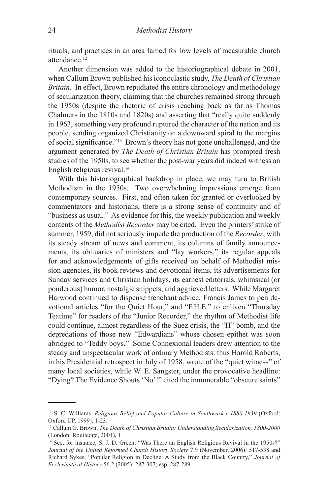rituals, and practices in an area famed for low levels of measurable church attendance.12

Another dimension was added to the historiographical debate in 2001, when Callum Brown published his iconoclastic study, *The Death of Christian Britain*. In effect, Brown repudiated the entire chronology and methodology of secularization theory, claiming that the churches remained strong through the 1950s (despite the rhetoric of crisis reaching back as far as Thomas Chalmers in the 1810s and 1820s) and asserting that "really quite suddenly in 1963, something very profound ruptured the character of the nation and its people, sending organized Christianity on a downward spiral to the margins of social significance."13 Brown's theory has not gone unchallenged, and the argument generated by *The Death of Christian Britain* has prompted fresh studies of the 1950s, to see whether the post-war years did indeed witness an English religious revival.14

With this historiographical backdrop in place, we may turn to British Methodism in the 1950s. Two overwhelming impressions emerge from contemporary sources. First, and often taken for granted or overlooked by commentators and historians, there is a strong sense of continuity and of "business as usual." As evidence for this, the weekly publication and weekly contents of the *Methodist Recorder* may be cited. Even the printers' strike of summer, 1959, did not seriously impede the production of the *Recorder*, with its steady stream of news and comment, its columns of family announcements, its obituaries of ministers and "lay workers," its regular appeals for and acknowledgements of gifts received on behalf of Methodist mission agencies, its book reviews and devotional items, its advertisements for Sunday services and Christian holidays, its earnest editorials, whimsical (or ponderous) humor, nostalgic snippets, and aggrieved letters. While Margaret Harwood continued to dispense trenchant advice, Francis James to pen devotional articles "for the Quiet Hour," and "F.H.E." to enliven "Thursday Teatime" for readers of the "Junior Recorder," the rhythm of Methodist life could continue, almost regardless of the Suez crisis, the "H" bomb, and the depredations of those new "Edwardians" whose chosen epithet was soon abridged to "Teddy boys." Some Connexional leaders drew attention to the steady and unspectacular work of ordinary Methodists: thus Harold Roberts, in his Presidential retrospect in July of 1958, wrote of the "quiet witness" of many local societies, while W. E. Sangster, under the provocative headline: "Dying? The Evidence Shouts 'No'!" cited the innumerable "obscure saints"

<sup>12</sup> S. C. Williams, *Religious Belief and Popular Culture in Southwark c.1880-1939* (Oxford: Oxford UP, 1999), 1-23.

<sup>13</sup> Callum G. Brown, *The Death of Christian Britain: Understanding Secularization, 1800-2000*  (London: Routledge, 2001), 1

<sup>&</sup>lt;sup>14</sup> See, for instance, S. J. D. Green, "Was There an English Religious Revival in the 1950s?" *Journal of the United Reformed Church History Society* 7.9 (November, 2006): 517-538 and Richard Sykes, "Popular Religion in Decline: A Study from the Black Country," *Journal of Ecclesiastical History* 56.2 (2005): 287-307; esp. 287-289.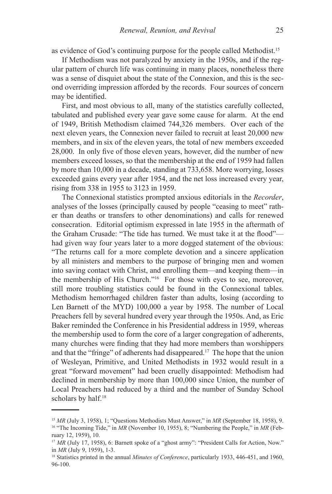as evidence of God's continuing purpose for the people called Methodist.15

If Methodism was not paralyzed by anxiety in the 1950s, and if the regular pattern of church life was continuing in many places, nonetheless there was a sense of disquiet about the state of the Connexion, and this is the second overriding impression afforded by the records. Four sources of concern may be identified.

First, and most obvious to all, many of the statistics carefully collected, tabulated and published every year gave some cause for alarm. At the end of 1949, British Methodism claimed 744,326 members. Over each of the next eleven years, the Connexion never failed to recruit at least 20,000 new members, and in six of the eleven years, the total of new members exceeded 28,000. In only five of those eleven years, however, did the number of new members exceed losses, so that the membership at the end of 1959 had fallen by more than 10,000 in a decade, standing at 733,658. More worrying, losses exceeded gains every year after 1954, and the net loss increased every year, rising from 338 in 1955 to 3123 in 1959.

The Connexional statistics prompted anxious editorials in the *Recorder*, analyses of the losses (principally caused by people "ceasing to meet" rather than deaths or transfers to other denominations) and calls for renewed consecration. Editorial optimism expressed in late 1955 in the aftermath of the Graham Crusade: "The tide has turned. We must take it at the flood" had given way four years later to a more dogged statement of the obvious: "The returns call for a more complete devotion and a sincere application by all ministers and members to the purpose of bringing men and women into saving contact with Christ, and enrolling them—and keeping them—in the membership of His Church."16 For those with eyes to see, moreover, still more troubling statistics could be found in the Connexional tables. Methodism hemorrhaged children faster than adults, losing (according to Len Barnett of the MYD) 100,000 a year by 1958. The number of Local Preachers fell by several hundred every year through the 1950s. And, as Eric Baker reminded the Conference in his Presidential address in 1959, whereas the membership used to form the core of a larger congregation of adherents, many churches were finding that they had more members than worshippers and that the "fringe" of adherents had disappeared.17 The hope that the union of Wesleyan, Primitive, and United Methodists in 1932 would result in a great "forward movement" had been cruelly disappointed: Methodism had declined in membership by more than 100,000 since Union, the number of Local Preachers had reduced by a third and the number of Sunday School scholars by half.<sup>18</sup>

<sup>15</sup> *MR* (July 3, 1958), 1; "Questions Methodists Must Answer," in *MR* (September 18, 1958), 9. <sup>16</sup> "The Incoming Tide," in *MR* (November 10, 1955), 8; "Numbering the People," in *MR* (February 12, 1959), 10.

<sup>&</sup>lt;sup>17</sup> *MR* (July 17, 1958), 6: Barnett spoke of a "ghost army": "President Calls for Action, Now." in *MR* (July 9, 1959), 1-3.

<sup>18</sup> Statistics printed in the annual *Minutes of Conference*, particularly 1933, 446-451, and 1960, 96-100.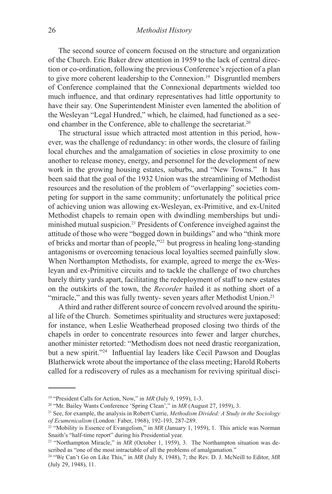The second source of concern focused on the structure and organization of the Church. Eric Baker drew attention in 1959 to the lack of central direction or co-ordination, following the previous Conference's rejection of a plan to give more coherent leadership to the Connexion.19 Disgruntled members of Conference complained that the Connexional departments wielded too much influence, and that ordinary representatives had little opportunity to have their say. One Superintendent Minister even lamented the abolition of the Wesleyan "Legal Hundred," which, he claimed, had functioned as a second chamber in the Conference, able to challenge the secretariat.20

The structural issue which attracted most attention in this period, however, was the challenge of redundancy: in other words, the closure of failing local churches and the amalgamation of societies in close proximity to one another to release money, energy, and personnel for the development of new work in the growing housing estates, suburbs, and "New Towns." It has been said that the goal of the 1932 Union was the streamlining of Methodist resources and the resolution of the problem of "overlapping" societies competing for support in the same community; unfortunately the political price of achieving union was allowing ex-Wesleyan, ex-Primitive, and ex-United Methodist chapels to remain open with dwindling memberships but undiminished mutual suspicion.21 Presidents of Conference inveighed against the attitude of those who were "bogged down in buildings" and who "think more of bricks and mortar than of people,"22 but progress in healing long-standing antagonisms or overcoming tenacious local loyalties seemed painfully slow. When Northampton Methodists, for example, agreed to merge the ex-Wesleyan and ex-Primitive circuits and to tackle the challenge of two churches barely thirty yards apart, facilitating the redeployment of staff to new estates on the outskirts of the town, the *Recorder* hailed it as nothing short of a "miracle," and this was fully twenty- seven years after Methodist Union.<sup>23</sup>

A third and rather different source of concern revolved around the spiritual life of the Church. Sometimes spirituality and structures were juxtaposed: for instance, when Leslie Weatherhead proposed closing two thirds of the chapels in order to concentrate resources into fewer and larger churches, another minister retorted: "Methodism does not need drastic reorganization, but a new spirit."24 Influential lay leaders like Cecil Pawson and Douglas Blatherwick wrote about the importance of the class meeting; Harold Roberts called for a rediscovery of rules as a mechanism for reviving spiritual disci-

<sup>&</sup>lt;sup>19</sup> "President Calls for Action, Now," in *MR* (July 9, 1959), 1-3.

<sup>&</sup>lt;sup>20</sup> "Mr. Bailey Wants Conference 'Spring Clean'," in *MR* (August 27, 1959), 3.

<sup>21</sup> See, for example, the analysis in Robert Currie, *Methodism Divided: A Study in the Sociology of Ecumenicalism* (London: Faber, 1968), 192-193, 287-289.

<sup>&</sup>lt;sup>22</sup> "Mobility is Essence of Evangelism," in *MR* (January 1, 1959), 1. This article was Norman Snaith's "half-time report" during his Presidential year.

<sup>&</sup>lt;sup>23</sup> "Northampton Miracle," in *MR* (October 1, 1959), 3. The Northampton situation was described as "one of the most intractable of all the problems of amalgamation."

<sup>24 &</sup>quot;We Can't Go on Like This," in *MR* (July 8, 1948), 7; the Rev. D. J. McNeill to Editor, *MR* (July 29, 1948), 11.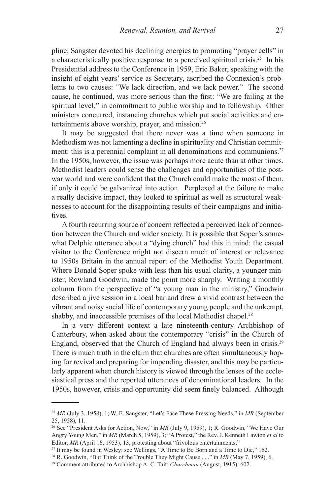pline; Sangster devoted his declining energies to promoting "prayer cells" in a characteristically positive response to a perceived spiritual crisis.25 In his Presidential address to the Conference in 1959, Eric Baker, speaking with the insight of eight years' service as Secretary, ascribed the Connexion's problems to two causes: "We lack direction, and we lack power." The second cause, he continued, was more serious than the first: "We are failing at the spiritual level," in commitment to public worship and to fellowship. Other ministers concurred, instancing churches which put social activities and entertainments above worship, prayer, and mission.26

It may be suggested that there never was a time when someone in Methodism was not lamenting a decline in spirituality and Christian commitment: this is a perennial complaint in all denominations and communions.<sup>27</sup> In the 1950s, however, the issue was perhaps more acute than at other times. Methodist leaders could sense the challenges and opportunities of the postwar world and were confident that the Church could make the most of them, if only it could be galvanized into action. Perplexed at the failure to make a really decisive impact, they looked to spiritual as well as structural weaknesses to account for the disappointing results of their campaigns and initiatives.

A fourth recurring source of concern reflected a perceived lack of connection between the Church and wider society. It is possible that Soper's somewhat Delphic utterance about a "dying church" had this in mind: the casual visitor to the Conference might not discern much of interest or relevance to 1950s Britain in the annual report of the Methodist Youth Department. Where Donald Soper spoke with less than his usual clarity, a younger minister, Rowland Goodwin, made the point more sharply. Writing a monthly column from the perspective of "a young man in the ministry," Goodwin described a jive session in a local bar and drew a vivid contrast between the vibrant and noisy social life of contemporary young people and the unkempt, shabby, and inaccessible premises of the local Methodist chapel.<sup>28</sup>

In a very different context a late nineteenth-century Archbishop of Canterbury, when asked about the contemporary "crisis" in the Church of England, observed that the Church of England had always been in crisis.29 There is much truth in the claim that churches are often simultaneously hoping for revival and preparing for impending disaster, and this may be particularly apparent when church history is viewed through the lenses of the ecclesiastical press and the reported utterances of denominational leaders. In the 1950s, however, crisis and opportunity did seem finely balanced. Although

<sup>25</sup> *MR* (July 3, 1958), 1; W. E. Sangster, "Let's Face These Pressing Needs," in *MR* (September 25, 1958), 11.

<sup>26</sup> See "President Asks for Action, Now," in *MR* (July 9, 1959), 1; R. Goodwin, "We Have Our Angry Young Men," in *MR* (March 5, 1959), 3; "A Protest," the Rev. J. Kenneth Lawton *et al* to Editor, *MR* (April 16, 1953), 13, protesting about "frivolous entertainments,"

<sup>&</sup>lt;sup>27</sup> It may be found in Wesley: see Wellings, "A Time to Be Born and a Time to Die," 152.

<sup>&</sup>lt;sup>28</sup> R. Goodwin, "But Think of the Trouble They Might Cause . . ." in *MR* (May 7, 1959), 6.

<sup>29</sup> Comment attributed to Archbishop A. C. Tait: *Churchman* (August, 1915): 602.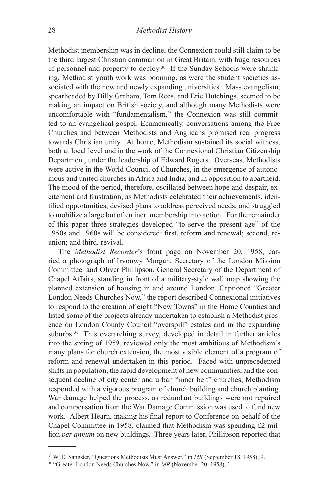Methodist membership was in decline, the Connexion could still claim to be the third largest Christian communion in Great Britain, with huge resources of personnel and property to deploy.30 If the Sunday Schools were shrinking, Methodist youth work was booming, as were the student societies associated with the new and newly expanding universities. Mass evangelism, spearheaded by Billy Graham, Tom Rees, and Eric Hutchings, seemed to be making an impact on British society, and although many Methodists were uncomfortable with "fundamentalism," the Connexion was still committed to an evangelical gospel. Ecumenically, conversations among the Free Churches and between Methodists and Anglicans promised real progress towards Christian unity. At home, Methodism sustained its social witness, both at local level and in the work of the Connexional Christian Citizenship Department, under the leadership of Edward Rogers. Overseas, Methodists were active in the World Council of Churches, in the emergence of autonomous and united churches in Africa and India, and in opposition to apartheid. The mood of the period, therefore, oscillated between hope and despair, excitement and frustration, as Methodists celebrated their achievements, identified opportunities, devised plans to address perceived needs, and struggled to mobilize a large but often inert membership into action. For the remainder of this paper three strategies developed "to serve the present age" of the 1950s and 1960s will be considered: first, reform and renewal; second, reunion; and third, revival.

The *Methodist Recorder*'s front page on November 20, 1958, carried a photograph of Irvonwy Morgan, Secretary of the London Mission Committee, and Oliver Phillipson, General Secretary of the Department of Chapel Affairs, standing in front of a military-style wall map showing the planned extension of housing in and around London. Captioned "Greater London Needs Churches Now," the report described Connexional initiatives to respond to the creation of eight "New Towns" in the Home Counties and listed some of the projects already undertaken to establish a Methodist presence on London County Council "overspill" estates and in the expanding suburbs.<sup>31</sup> This overarching survey, developed in detail in further articles into the spring of 1959, reviewed only the most ambitious of Methodism's many plans for church extension, the most visible element of a program of reform and renewal undertaken in this period. Faced with unprecedented shifts in population, the rapid development of new communities, and the consequent decline of city center and urban "inner belt" churches, Methodism responded with a vigorous program of church building and church planting. War damage helped the process, as redundant buildings were not repaired and compensation from the War Damage Commission was used to fund new work. Albert Hearn, making his final report to Conference on behalf of the Chapel Committee in 1958, claimed that Methodism was spending £2 million *per annum* on new buildings. Three years later, Phillipson reported that

<sup>30</sup> W. E. Sangster, "Questions Methodists Must Answer," in *MR* (September 18, 1958), 9.

<sup>&</sup>lt;sup>31</sup> "Greater London Needs Churches Now," in *MR* (November 20, 1958), 1.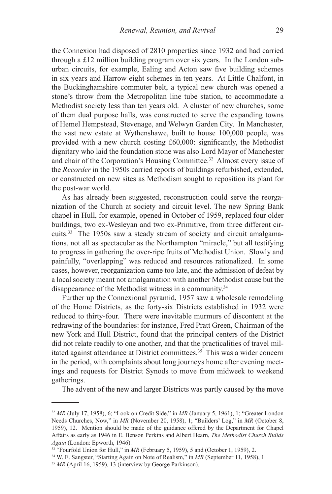the Connexion had disposed of 2810 properties since 1932 and had carried through a £12 million building program over six years. In the London suburban circuits, for example, Ealing and Acton saw five building schemes in six years and Harrow eight schemes in ten years. At Little Chalfont, in the Buckinghamshire commuter belt, a typical new church was opened a stone's throw from the Metropolitan line tube station, to accommodate a Methodist society less than ten years old. A cluster of new churches, some of them dual purpose halls, was constructed to serve the expanding towns of Hemel Hempstead, Stevenage, and Welwyn Garden City. In Manchester, the vast new estate at Wythenshawe, built to house 100,000 people, was provided with a new church costing £60,000: significantly, the Methodist dignitary who laid the foundation stone was also Lord Mayor of Manchester and chair of the Corporation's Housing Committee.<sup>32</sup> Almost every issue of the *Recorder* in the 1950s carried reports of buildings refurbished, extended, or constructed on new sites as Methodism sought to reposition its plant for the post-war world.

As has already been suggested, reconstruction could serve the reorganization of the Church at society and circuit level. The new Spring Bank chapel in Hull, for example, opened in October of 1959, replaced four older buildings, two ex-Wesleyan and two ex-Primitive, from three different circuits.33 The 1950s saw a steady stream of society and circuit amalgamations, not all as spectacular as the Northampton "miracle," but all testifying to progress in gathering the over-ripe fruits of Methodist Union. Slowly and painfully, "overlapping" was reduced and resources rationalized. In some cases, however, reorganization came too late, and the admission of defeat by a local society meant not amalgamation with another Methodist cause but the disappearance of the Methodist witness in a community.34

Further up the Connexional pyramid, 1957 saw a wholesale remodeling of the Home Districts, as the forty-six Districts established in 1932 were reduced to thirty-four. There were inevitable murmurs of discontent at the redrawing of the boundaries: for instance, Fred Pratt Green, Chairman of the new York and Hull District, found that the principal centers of the District did not relate readily to one another, and that the practicalities of travel militated against attendance at District committees.<sup>35</sup> This was a wider concern in the period, with complaints about long journeys home after evening meetings and requests for District Synods to move from midweek to weekend gatherings.

The advent of the new and larger Districts was partly caused by the move

<sup>32</sup> *MR* (July 17, 1958), 6; "Look on Credit Side," in *MR* (January 5, 1961), 1; "Greater London Needs Churches, Now," in *MR* (November 20, 1958), 1; "Builders' Log," in *MR* (October 8, 1959), 12. Mention should be made of the guidance offered by the Department for Chapel Affairs as early as 1946 in E. Benson Perkins and Albert Hearn, *The Methodist Church Builds Again* (London: Epworth, 1946).

<sup>&</sup>lt;sup>33</sup> "Fourfold Union for Hull," in *MR* (February 5, 1959), 5 and (October 1, 1959), 2.

<sup>34</sup> W. E. Sangster, "Starting Again on Note of Realism," in *MR* (September 11, 1958), 1.

<sup>&</sup>lt;sup>35</sup> *MR* (April 16, 1959), 13 (interview by George Parkinson).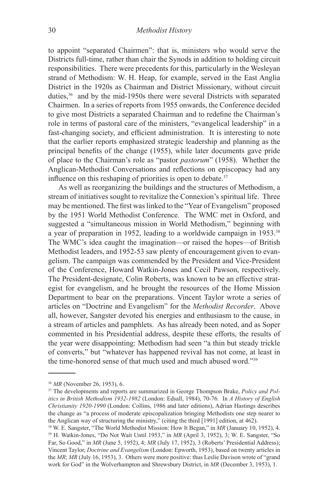to appoint "separated Chairmen": that is, ministers who would serve the Districts full-time, rather than chair the Synods in addition to holding circuit responsibilities. There were precedents for this, particularly in the Wesleyan strand of Methodism: W. H. Heap, for example, served in the East Anglia District in the 1920s as Chairman and District Missionary, without circuit duties,36 and by the mid-1950s there were several Districts with separated Chairmen. In a series of reports from 1955 onwards, the Conference decided to give most Districts a separated Chairman and to redefine the Chairman's role in terms of pastoral care of the ministers, "evangelical leadership" in a fast-changing society, and efficient administration. It is interesting to note that the earlier reports emphasized strategic leadership and planning as the principal benefits of the change (1955), while later documents gave pride of place to the Chairman's role as "pastor *pastorum*" (1958). Whether the Anglican-Methodist Conversations and reflections on episcopacy had any influence on this reshaping of priorities is open to debate.<sup>37</sup>

As well as reorganizing the buildings and the structures of Methodism, a stream of initiatives sought to revitalize the Connexion's spiritual life. Three may be mentioned. The first was linked to the "Year of Evangelism" proposed by the 1951 World Methodist Conference. The WMC met in Oxford, and suggested a "simultaneous mission in World Methodism," beginning with a year of preparation in 1952, leading to a worldwide campaign in 1953.38 The WMC's idea caught the imagination—or raised the hopes—of British Methodist leaders, and 1952-53 saw plenty of encouragement given to evangelism. The campaign was commended by the President and Vice-President of the Conference, Howard Watkin-Jones and Cecil Pawson, respectively. The President-designate, Colin Roberts, was known to be an effective strategist for evangelism, and he brought the resources of the Home Mission Department to bear on the preparations. Vincent Taylor wrote a series of articles on "Doctrine and Evangelism" for the *Methodist Recorder*. Above all, however, Sangster devoted his energies and enthusiasm to the cause, in a stream of articles and pamphlets. As has already been noted, and as Soper commented in his Presidential address, despite these efforts, the results of the year were disappointing: Methodism had seen "a thin but steady trickle of converts," but "whatever has happened revival has not come, at least in the time-honored sense of that much used and much abused word."39

<sup>36</sup> *MR* (November 26, 1953), 6.

<sup>37</sup> The developments and reports are summarized in George Thompson Brake, *Policy and Politics in British Methodism 1932-1982* (London: Edsall, 1984), 70-76. In *A History of English Christianity 1920-1990* (London: Collins, 1986 and later editions), Adrian Hastings describes the change as "a process of moderate episcopalization bringing Methodists one step nearer to the Anglican way of structuring the ministry," (citing the third [1991] edition, at 462).

<sup>&</sup>lt;sup>38</sup> W. E. Sangster, "The World Methodist Mission: How It Began," in *MR* (January 10, 1952), 4. 39 H. Watkin-Jones, "Do Not Wait Until 1953," in *MR* (April 3, 1952), 3; W. E. Sangster, "So Far, So Good," in *MR* (June 5, 1952), 4; *MR* (July 17, 1952), 3 (Roberts' Presidential Address); Vincent Taylor, *Doctrine and Evangelism* (London: Epworth, 1953), based on twenty articles in the *MR*; *MR* (July 16, 1953), 3. Others were more positive: thus Leslie Davison wrote of "grand work for God" in the Wolverhampton and Shrewsbury District, in *MR* (December 3, 1953), 1.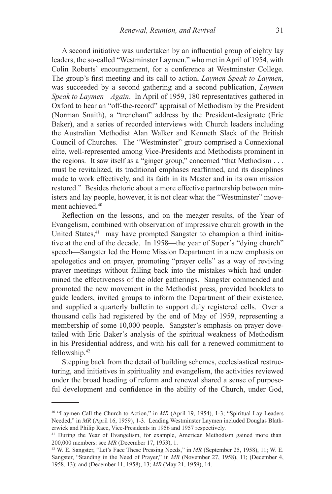A second initiative was undertaken by an influential group of eighty lay leaders, the so-called "Westminster Laymen." who met in April of 1954, with Colin Roberts' encouragement, for a conference at Westminster College. The group's first meeting and its call to action, *Laymen Speak to Laymen*, was succeeded by a second gathering and a second publication, *Laymen Speak to Laymen—Again*. In April of 1959, 180 representatives gathered in Oxford to hear an "off-the-record" appraisal of Methodism by the President (Norman Snaith), a "trenchant" address by the President-designate (Eric Baker), and a series of recorded interviews with Church leaders including the Australian Methodist Alan Walker and Kenneth Slack of the British Council of Churches. The "Westminster" group comprised a Connexional elite, well-represented among Vice-Presidents and Methodists prominent in the regions. It saw itself as a "ginger group," concerned "that Methodism . . . must be revitalized, its traditional emphases reaffirmed, and its disciplines made to work effectively, and its faith in its Master and in its own mission restored." Besides rhetoric about a more effective partnership between ministers and lay people, however, it is not clear what the "Westminster" movement achieved.40

Reflection on the lessons, and on the meager results, of the Year of Evangelism, combined with observation of impressive church growth in the United States,<sup>41</sup> may have prompted Sangster to champion a third initiative at the end of the decade. In 1958—the year of Soper's "dying church" speech—Sangster led the Home Mission Department in a new emphasis on apologetics and on prayer, promoting "prayer cells" as a way of reviving prayer meetings without falling back into the mistakes which had undermined the effectiveness of the older gatherings. Sangster commended and promoted the new movement in the Methodist press, provided booklets to guide leaders, invited groups to inform the Department of their existence, and supplied a quarterly bulletin to support duly registered cells. Over a thousand cells had registered by the end of May of 1959, representing a membership of some 10,000 people. Sangster's emphasis on prayer dovetailed with Eric Baker's analysis of the spiritual weakness of Methodism in his Presidential address, and with his call for a renewed commitment to fellowship.42

Stepping back from the detail of building schemes, ecclesiastical restructuring, and initiatives in spirituality and evangelism, the activities reviewed under the broad heading of reform and renewal shared a sense of purposeful development and confidence in the ability of the Church, under God,

<sup>40 &</sup>quot;Laymen Call the Church to Action," in *MR* (April 19, 1954), 1-3; "Spiritual Lay Leaders Needed," in *MR* (April 16, 1959), 1-3. Leading Westminster Laymen included Douglas Blatherwick and Philip Race, Vice-Presidents in 1956 and 1957 respectively.

<sup>&</sup>lt;sup>41</sup> During the Year of Evangelism, for example, American Methodism gained more than 200,000 members: see *MR* (December 17, 1953), 1.

<sup>42</sup> W. E. Sangster, "Let's Face These Pressing Needs," in *MR* (September 25, 1958), 11; W. E. Sangster, "Standing in the Need of Prayer," in *MR* (November 27, 1958), 11; (December 4, 1958, 13); and (December 11, 1958), 13; *MR* (May 21, 1959), 14.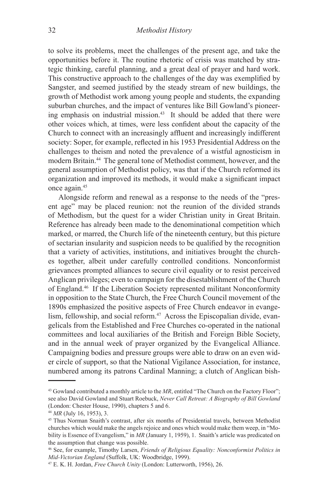to solve its problems, meet the challenges of the present age, and take the opportunities before it. The routine rhetoric of crisis was matched by strategic thinking, careful planning, and a great deal of prayer and hard work. This constructive approach to the challenges of the day was exemplified by Sangster, and seemed justified by the steady stream of new buildings, the growth of Methodist work among young people and students, the expanding suburban churches, and the impact of ventures like Bill Gowland's pioneering emphasis on industrial mission.43 It should be added that there were other voices which, at times, were less confident about the capacity of the Church to connect with an increasingly affluent and increasingly indifferent society: Soper, for example, reflected in his 1953 Presidential Address on the challenges to theism and noted the prevalence of a wistful agnosticism in modern Britain.44 The general tone of Methodist comment, however, and the general assumption of Methodist policy, was that if the Church reformed its organization and improved its methods, it would make a significant impact once again.45

Alongside reform and renewal as a response to the needs of the "present age" may be placed reunion: not the reunion of the divided strands of Methodism, but the quest for a wider Christian unity in Great Britain. Reference has already been made to the denominational competition which marked, or marred, the Church life of the nineteenth century, but this picture of sectarian insularity and suspicion needs to be qualified by the recognition that a variety of activities, institutions, and initiatives brought the churches together, albeit under carefully controlled conditions. Nonconformist grievances prompted alliances to secure civil equality or to resist perceived Anglican privileges; even to campaign for the disestablishment of the Church of England.46 If the Liberation Society represented militant Nonconformity in opposition to the State Church, the Free Church Council movement of the 1890s emphasized the positive aspects of Free Church endeavor in evangelism, fellowship, and social reform.<sup>47</sup> Across the Episcopalian divide, evangelicals from the Established and Free Churches co-operated in the national committees and local auxiliaries of the British and Foreign Bible Society, and in the annual week of prayer organized by the Evangelical Alliance. Campaigning bodies and pressure groups were able to draw on an even wider circle of support, so that the National Vigilance Association, for instance, numbered among its patrons Cardinal Manning; a clutch of Anglican bish-

<sup>&</sup>lt;sup>43</sup> Gowland contributed a monthly article to the *MR*, entitled "The Church on the Factory Floor"; see also David Gowland and Stuart Roebuck, *Never Call Retreat: A Biography of Bill Gowland* (London: Chester House, 1990), chapters 5 and 6.

<sup>44</sup> *MR* (July 16, 1953), 3.

<sup>45</sup> Thus Norman Snaith's contrast, after six months of Presidential travels, between Methodist churches which would make the angels rejoice and ones which would make them weep, in "Mobility is Essence of Evangelism," in *MR* (January 1, 1959), 1. Snaith's article was predicated on the assumption that change was possible.

<sup>46</sup> See, for example, Timothy Larsen, *Friends of Religious Equality: Nonconformist Politics in Mid-Victorian England* (Suffolk, UK: Woodbridge, 1999).

<sup>47</sup> E. K. H. Jordan, *Free Church Unity* (London: Lutterworth, 1956), 26.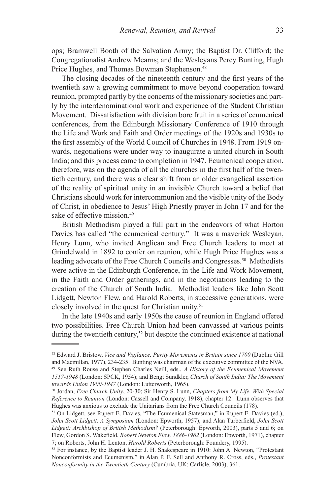ops; Bramwell Booth of the Salvation Army; the Baptist Dr. Clifford; the Congregationalist Andrew Mearns; and the Wesleyans Percy Bunting, Hugh Price Hughes, and Thomas Bowman Stephenson.<sup>48</sup>

The closing decades of the nineteenth century and the first years of the twentieth saw a growing commitment to move beyond cooperation toward reunion, prompted partly by the concerns of the missionary societies and partly by the interdenominational work and experience of the Student Christian Movement. Dissatisfaction with division bore fruit in a series of ecumenical conferences, from the Edinburgh Missionary Conference of 1910 through the Life and Work and Faith and Order meetings of the 1920s and 1930s to the first assembly of the World Council of Churches in 1948. From 1919 onwards, negotiations were under way to inaugurate a united church in South India; and this process came to completion in 1947. Ecumenical cooperation, therefore, was on the agenda of all the churches in the first half of the twentieth century, and there was a clear shift from an older evangelical assertion of the reality of spiritual unity in an invisible Church toward a belief that Christians should work for intercommunion and the visible unity of the Body of Christ, in obedience to Jesus' High Priestly prayer in John 17 and for the sake of effective mission.<sup>49</sup>

British Methodism played a full part in the endeavors of what Horton Davies has called "the ecumenical century." It was a maverick Wesleyan, Henry Lunn, who invited Anglican and Free Church leaders to meet at Grindelwald in 1892 to confer on reunion, while Hugh Price Hughes was a leading advocate of the Free Church Councils and Congresses.50 Methodists were active in the Edinburgh Conference, in the Life and Work Movement, in the Faith and Order gatherings, and in the negotiations leading to the creation of the Church of South India. Methodist leaders like John Scott Lidgett, Newton Flew, and Harold Roberts, in successive generations, were closely involved in the quest for Christian unity.51

In the late 1940s and early 1950s the cause of reunion in England offered two possibilities. Free Church Union had been canvassed at various points during the twentieth century,<sup>52</sup> but despite the continued existence at national

<sup>48</sup> Edward J. Bristow, *Vice and Vigilance. Purity Movements in Britain since 1700* (Dublin: Gill and Macmillan, 1977), 234-235. Bunting was chairman of the executive committee of the NVA. 49 See Ruth Rouse and Stephen Charles Neill, eds., *A History of the Ecumenical Movement 1517-1948* (London: SPCK, 1954); and Bengt Sundkler, *Church of South India: The Movement towards Union 1900-1947* (London: Lutterworth, 1965).

<sup>50</sup> Jordan, *Free Church Unity*, 20-30; Sir Henry S. Lunn, *Chapters from My Life. With Special Reference to Reunion* (London: Cassell and Company, 1918), chapter 12. Lunn observes that Hughes was anxious to exclude the Unitarians from the Free Church Councils (178).

<sup>&</sup>lt;sup>51</sup> On Lidgett, see Rupert E. Davies, "The Ecumenical Statesman," in Rupert E. Davies (ed.), *John Scott Lidgett. A Symposium* (London: Epworth, 1957); and Alan Turberfield, *John Scott Lidgett: Archbishop of British Methodism?* (Peterborough: Epworth, 2003), parts 5 and 6; on Flew, Gordon S. Wakefield, *Robert Newton Flew, 1886-1962* (London: Epworth, 1971), chapter 7; on Roberts, John H. Lenton, *Harold Roberts* (Peterborough: Foundery, 1995).

<sup>52</sup> For instance, by the Baptist leader J. H. Shakespeare in 1910: John A. Newton, "Protestant Nonconformists and Ecumenism," in Alan P. F. Sell and Anthony R. Cross, eds., *Protestant Nonconformity in the Twentieth Century* (Cumbria, UK: Carlisle, 2003), 361.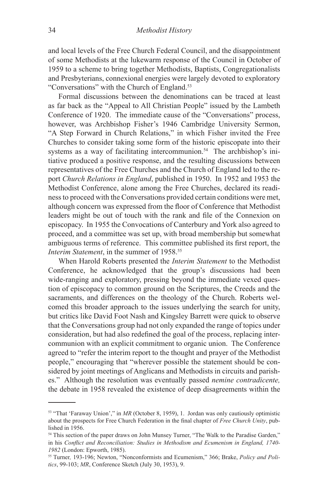and local levels of the Free Church Federal Council, and the disappointment of some Methodists at the lukewarm response of the Council in October of 1959 to a scheme to bring together Methodists, Baptists, Congregationalists and Presbyterians, connexional energies were largely devoted to exploratory "Conversations" with the Church of England.53

Formal discussions between the denominations can be traced at least as far back as the "Appeal to All Christian People" issued by the Lambeth Conference of 1920. The immediate cause of the "Conversations" process, however, was Archbishop Fisher's 1946 Cambridge University Sermon, "A Step Forward in Church Relations," in which Fisher invited the Free Churches to consider taking some form of the historic episcopate into their systems as a way of facilitating intercommunion.<sup>54</sup> The archbishop's initiative produced a positive response, and the resulting discussions between representatives of the Free Churches and the Church of England led to the report *Church Relations in England*, published in 1950. In 1952 and 1953 the Methodist Conference, alone among the Free Churches, declared its readiness to proceed with the Conversations provided certain conditions were met, although concern was expressed from the floor of Conference that Methodist leaders might be out of touch with the rank and file of the Connexion on episcopacy. In 1955 the Convocations of Canterbury and York also agreed to proceed, and a committee was set up, with broad membership but somewhat ambiguous terms of reference. This committee published its first report, the *Interim Statement*, in the summer of 1958.<sup>55</sup>

When Harold Roberts presented the *Interim Statement* to the Methodist Conference, he acknowledged that the group's discussions had been wide-ranging and exploratory, pressing beyond the immediate vexed question of episcopacy to common ground on the Scriptures, the Creeds and the sacraments, and differences on the theology of the Church. Roberts welcomed this broader approach to the issues underlying the search for unity, but critics like David Foot Nash and Kingsley Barrett were quick to observe that the Conversations group had not only expanded the range of topics under consideration, but had also redefined the goal of the process, replacing intercommunion with an explicit commitment to organic union. The Conference agreed to "refer the interim report to the thought and prayer of the Methodist people," encouraging that "wherever possible the statement should be considered by joint meetings of Anglicans and Methodists in circuits and parishes." Although the resolution was eventually passed *nemine contradicente,* the debate in 1958 revealed the existence of deep disagreements within the

<sup>53 &</sup>quot;That 'Faraway Union'," in *MR* (October 8, 1959), 1. Jordan was only cautiously optimistic about the prospects for Free Church Federation in the final chapter of *Free Church Unity*, published in 1956.

<sup>&</sup>lt;sup>54</sup> This section of the paper draws on John Munsey Turner, "The Walk to the Paradise Garden," in his *Conflict and Reconciliation: Studies in Methodism and Ecumenism in England, 1740- 1982* (London: Epworth, 1985).

<sup>55</sup> Turner*,* 193-196; Newton, "Nonconformists and Ecumenism," 366; Brake, *Policy and Politics*, 99-103; *MR*, Conference Sketch (July 30, 1953), 9.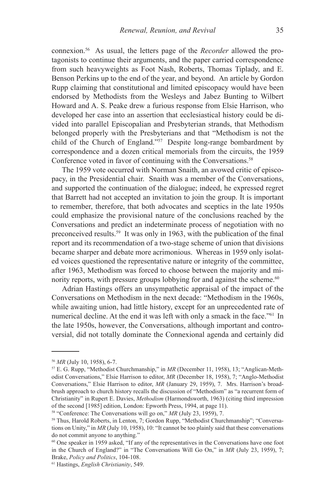connexion.56 As usual, the letters page of the *Recorder* allowed the protagonists to continue their arguments, and the paper carried correspondence from such heavyweights as Foot Nash, Roberts, Thomas Tiplady, and E. Benson Perkins up to the end of the year, and beyond. An article by Gordon Rupp claiming that constitutional and limited episcopacy would have been endorsed by Methodists from the Wesleys and Jabez Bunting to Wilbert Howard and A. S. Peake drew a furious response from Elsie Harrison, who developed her case into an assertion that ecclesiastical history could be divided into parallel Episcopalian and Presbyterian strands, that Methodism belonged properly with the Presbyterians and that "Methodism is not the child of the Church of England."57 Despite long-range bombardment by correspondence and a dozen critical memorials from the circuits, the 1959 Conference voted in favor of continuing with the Conversations.<sup>58</sup>

The 1959 vote occurred with Norman Snaith, an avowed critic of episcopacy, in the Presidential chair. Snaith was a member of the Conversations, and supported the continuation of the dialogue; indeed, he expressed regret that Barrett had not accepted an invitation to join the group. It is important to remember, therefore, that both advocates and sceptics in the late 1950s could emphasize the provisional nature of the conclusions reached by the Conversations and predict an indeterminate process of negotiation with no preconceived results.59 It was only in 1963, with the publication of the final report and its recommendation of a two-stage scheme of union that divisions became sharper and debate more acrimonious. Whereas in 1959 only isolated voices questioned the representative nature or integrity of the committee, after 1963, Methodism was forced to choose between the majority and minority reports, with pressure groups lobbying for and against the scheme.<sup> $60$ </sup>

Adrian Hastings offers an unsympathetic appraisal of the impact of the Conversations on Methodism in the next decade: "Methodism in the 1960s, while awaiting union, had little history, except for an unprecedented rate of numerical decline. At the end it was left with only a smack in the face.<sup>"61</sup> In the late 1950s, however, the Conversations, although important and controversial, did not totally dominate the Connexional agenda and certainly did

<sup>56</sup> *MR* (July 10, 1958), 6-7.

<sup>57</sup> E. G. Rupp, "Methodist Churchmanship," in *MR* (December 11, 1958), 13; "Anglican-Methodist Conversations," Elsie Harrison to editor, *MR* (December 18, 1958), 7; "Anglo-Methodist Conversations," Elsie Harrison to editor, *MR* (January 29, 1959), 7. Mrs. Harrison's broadbrush approach to church history recalls the discussion of "Methodism" as "a recurrent form of Christianity" in Rupert E. Davies, *Methodism* (Harmondsworth, 1963) (citing third impression of the second [1985] edition, London: Epworth Press, 1994, at page 11).

<sup>58 &</sup>quot;Conference: The Conversations will go on," *MR* (July 23, 1959), 7.

<sup>59</sup> Thus, Harold Roberts, in Lenton, 7; Gordon Rupp, "Methodist Churchmanship"; "Conversations on Unity," in *MR* (July 10, 1958), 10: "It cannot be too plainly said that these conversations do not commit anyone to anything."

<sup>60</sup> One speaker in 1959 asked, "If any of the representatives in the Conversations have one foot in the Church of England?" in "The Conversations Will Go On," in *MR* (July 23, 1959), 7; Brake, *Policy and Politics*, 104-108.

<sup>61</sup> Hastings, *English Christianity*, 549.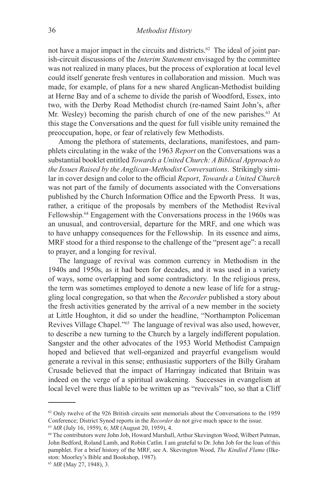not have a major impact in the circuits and districts.<sup>62</sup> The ideal of joint parish-circuit discussions of the *Interim Statement* envisaged by the committee was not realized in many places, but the process of exploration at local level could itself generate fresh ventures in collaboration and mission. Much was made, for example, of plans for a new shared Anglican-Methodist building at Herne Bay and of a scheme to divide the parish of Woodford, Essex, into two, with the Derby Road Methodist church (re-named Saint John's, after Mr. Wesley) becoming the parish church of one of the new parishes.<sup>63</sup> At this stage the Conversations and the quest for full visible unity remained the preoccupation, hope, or fear of relatively few Methodists.

Among the plethora of statements, declarations, manifestoes, and pamphlets circulating in the wake of the 1963 *Report* on the Conversations was a substantial booklet entitled *Towards a United Church: A Biblical Approach to the Issues Raised by the Anglican-Methodist Conversations*. Strikingly similar in cover design and color to the official *Report*, *Towards a United Church* was not part of the family of documents associated with the Conversations published by the Church Information Office and the Epworth Press. It was, rather, a critique of the proposals by members of the Methodist Revival Fellowship.64 Engagement with the Conversations process in the 1960s was an unusual, and controversial, departure for the MRF, and one which was to have unhappy consequences for the Fellowship. In its essence and aims, MRF stood for a third response to the challenge of the "present age": a recall to prayer, and a longing for revival.

The language of revival was common currency in Methodism in the 1940s and 1950s, as it had been for decades, and it was used in a variety of ways, some overlapping and some contradictory. In the religious press, the term was sometimes employed to denote a new lease of life for a struggling local congregation, so that when the *Recorder* published a story about the fresh activities generated by the arrival of a new member in the society at Little Houghton, it did so under the headline, "Northampton Policeman Revives Village Chapel."65 The language of revival was also used, however, to describe a new turning to the Church by a largely indifferent population. Sangster and the other advocates of the 1953 World Methodist Campaign hoped and believed that well-organized and prayerful evangelism would generate a revival in this sense; enthusiastic supporters of the Billy Graham Crusade believed that the impact of Harringay indicated that Britain was indeed on the verge of a spiritual awakening. Successes in evangelism at local level were thus liable to be written up as "revivals" too, so that a Cliff

 $62$  Only twelve of the 926 British circuits sent memorials about the Conversations to the 1959 Conference; District Synod reports in the *Recorder* do not give much space to the issue. <sup>63</sup> *MR* (July 16, 1959), 6; *MR* (August 20, 1959), 4.

<sup>64</sup> The contributors were John Job, Howard Marshall, Arthur Skevington Wood, Wilbert Putman, John Bedford, Roland Lamb, and Robin Catlin. I am grateful to Dr. John Job for the loan of this pamphlet. For a brief history of the MRF, see A. Skevington Wood, *The Kindled Flame* (Ilkeston: Moorley's Bible and Bookshop, 1987).

<sup>65</sup> *MR* (May 27, 1948), 3.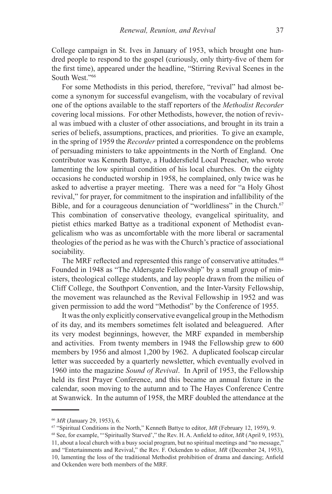College campaign in St. Ives in January of 1953, which brought one hundred people to respond to the gospel (curiously, only thirty-five of them for the first time), appeared under the headline, "Stirring Revival Scenes in the South West."66

For some Methodists in this period, therefore, "revival" had almost become a synonym for successful evangelism, with the vocabulary of revival one of the options available to the staff reporters of the *Methodist Recorder*  covering local missions. For other Methodists, however, the notion of revival was imbued with a cluster of other associations, and brought in its train a series of beliefs, assumptions, practices, and priorities. To give an example, in the spring of 1959 the *Recorder* printed a correspondence on the problems of persuading ministers to take appointments in the North of England. One contributor was Kenneth Battye, a Huddersfield Local Preacher, who wrote lamenting the low spiritual condition of his local churches. On the eighty occasions he conducted worship in 1958, he complained, only twice was he asked to advertise a prayer meeting. There was a need for "a Holy Ghost revival," for prayer, for commitment to the inspiration and infallibility of the Bible, and for a courageous denunciation of "worldliness" in the Church.<sup>67</sup> This combination of conservative theology, evangelical spirituality, and pietist ethics marked Battye as a traditional exponent of Methodist evangelicalism who was as uncomfortable with the more liberal or sacramental theologies of the period as he was with the Church's practice of associational sociability.

The MRF reflected and represented this range of conservative attitudes.<sup>68</sup> Founded in 1948 as "The Aldersgate Fellowship" by a small group of ministers, theological college students, and lay people drawn from the milieu of Cliff College, the Southport Convention, and the Inter-Varsity Fellowship, the movement was relaunched as the Revival Fellowship in 1952 and was given permission to add the word "Methodist" by the Conference of 1955.

It was the only explicitly conservative evangelical group in the Methodism of its day, and its members sometimes felt isolated and beleaguered. After its very modest beginnings, however, the MRF expanded in membership and activities. From twenty members in 1948 the Fellowship grew to 600 members by 1956 and almost 1,200 by 1962. A duplicated foolscap circular letter was succeeded by a quarterly newsletter, which eventually evolved in 1960 into the magazine *Sound of Revival*. In April of 1953, the Fellowship held its first Prayer Conference, and this became an annual fixture in the calendar, soon moving to the autumn and to The Hayes Conference Centre at Swanwick. In the autumn of 1958, the MRF doubled the attendance at the

<sup>66</sup> *MR* (January 29, 1953), 6.

<sup>67 &</sup>quot;Spiritual Conditions in the North," Kenneth Battye to editor, *MR* (February 12, 1959), 9.

<sup>68</sup> See, for example, "'Spiritually Starved'," the Rev. H. A. Anfield to editor, *MR* (April 9, 1953), 11, about a local church with a busy social program, but no spiritual meetings and "no message," and "Entertainments and Revival," the Rev. F. Ockenden to editor, *MR* (December 24, 1953), 10, lamenting the loss of the traditional Methodist prohibition of drama and dancing; Anfield and Ockenden were both members of the MRF.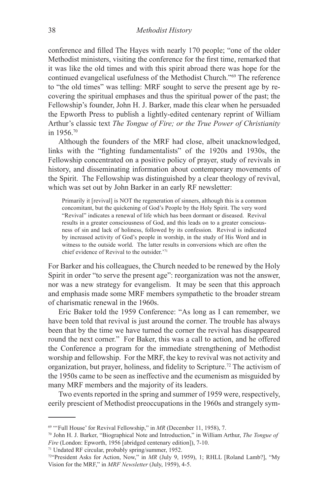conference and filled The Hayes with nearly 170 people; "one of the older Methodist ministers, visiting the conference for the first time, remarked that it was like the old times and with this spirit abroad there was hope for the continued evangelical usefulness of the Methodist Church."69 The reference to "the old times" was telling: MRF sought to serve the present age by recovering the spiritual emphases and thus the spiritual power of the past; the Fellowship's founder, John H. J. Barker, made this clear when he persuaded the Epworth Press to publish a lightly-edited centenary reprint of William Arthur's classic text *The Tongue of Fire; or the True Power of Christianity* in 1956.70

Although the founders of the MRF had close, albeit unacknowledged, links with the "fighting fundamentalists" of the 1920s and 1930s, the Fellowship concentrated on a positive policy of prayer, study of revivals in history, and disseminating information about contemporary movements of the Spirit. The Fellowship was distinguished by a clear theology of revival, which was set out by John Barker in an early RF newsletter:

Primarily it [revival] is NOT the regeneration of sinners, although this is a common concomitant, but the quickening of God's People by the Holy Spirit. The very word "Revival" indicates a renewal of life which has been dormant or diseased. Revival results in a greater consciousness of God, and this leads on to a greater consciousness of sin and lack of holiness, followed by its confession. Revival is indicated by increased activity of God's people in worship, in the study of His Word and in witness to the outside world. The latter results in conversions which are often the chief evidence of Revival to the outsider.'71

For Barker and his colleagues, the Church needed to be renewed by the Holy Spirit in order "to serve the present age": reorganization was not the answer, nor was a new strategy for evangelism. It may be seen that this approach and emphasis made some MRF members sympathetic to the broader stream of charismatic renewal in the 1960s.

Eric Baker told the 1959 Conference: "As long as I can remember, we have been told that revival is just around the corner. The trouble has always been that by the time we have turned the corner the revival has disappeared round the next corner." For Baker, this was a call to action, and he offered the Conference a program for the immediate strengthening of Methodist worship and fellowship. For the MRF, the key to revival was not activity and organization, but prayer, holiness, and fidelity to Scripture.72 The activism of the 1950s came to be seen as ineffective and the ecumenism as misguided by many MRF members and the majority of its leaders.

Two events reported in the spring and summer of 1959 were, respectively, eerily prescient of Methodist preoccupations in the 1960s and strangely sym-

<sup>69 &</sup>quot;'Full House' for Revival Fellowship," in *MR* (December 11, 1958), 7.

<sup>70</sup> John H. J. Barker, "Biographical Note and Introduction," in William Arthur, *The Tongue of Fire* (London: Epworth, 1956 [abridged centenary edition]), 7-10.

<sup>71</sup> Undated RF circular, probably spring/summer, 1952.

<sup>72&</sup>quot;President Asks for Action, Now," in *MR* (July 9, 1959), 1; RHLL [Roland Lamb?], "My Vision for the MRF," in *MRF Newsletter* (July, 1959), 4-5.